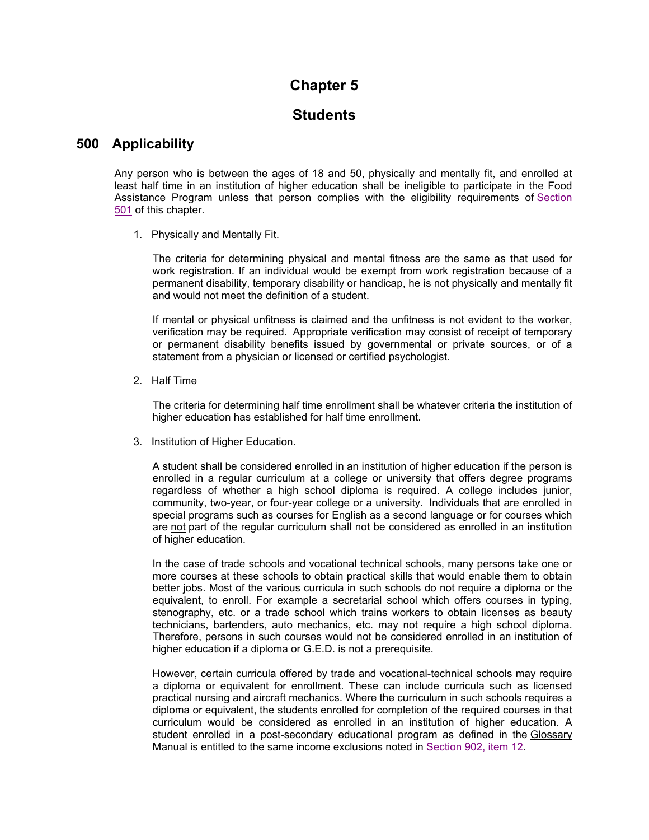# **Chapter 5**

### **Students**

### **500 Applicability**

Any person who is between the ages of 18 and 50, physically and mentally fit, and enrolled at least half time in an institution of higher education shall be ineligible to participate in the Food Assistance Program unless that person complies with the eligibility requirements of Section 501 of this chapter.

1. Physically and Mentally Fit.

The criteria for determining physical and mental fitness are the same as that used for work registration. If an individual would be exempt from work registration because of a permanent disability, temporary disability or handicap, he is not physically and mentally fit and would not meet the definition of a student.

If mental or physical unfitness is claimed and the unfitness is not evident to the worker, verification may be required. Appropriate verification may consist of receipt of temporary or permanent disability benefits issued by governmental or private sources, or of a statement from a physician or licensed or certified psychologist.

2. Half Time

The criteria for determining half time enrollment shall be whatever criteria the institution of higher education has established for half time enrollment.

3. Institution of Higher Education.

A student shall be considered enrolled in an institution of higher education if the person is enrolled in a regular curriculum at a college or university that offers degree programs regardless of whether a high school diploma is required. A college includes junior, community, two-year, or four-year college or a university. Individuals that are enrolled in special programs such as courses for English as a second language or for courses which are not part of the regular curriculum shall not be considered as enrolled in an institution of higher education.

In the case of trade schools and vocational technical schools, many persons take one or more courses at these schools to obtain practical skills that would enable them to obtain better jobs. Most of the various curricula in such schools do not require a diploma or the equivalent, to enroll. For example a secretarial school which offers courses in typing, stenography, etc. or a trade school which trains workers to obtain licenses as beauty technicians, bartenders, auto mechanics, etc. may not require a high school diploma. Therefore, persons in such courses would not be considered enrolled in an institution of higher education if a diploma or G.E.D. is not a prerequisite.

However, certain curricula offered by trade and vocational-technical schools may require a diploma or equivalent for enrollment. These can include curricula such as licensed practical nursing and aircraft mechanics. Where the curriculum in such schools requires a diploma or equivalent, the students enrolled for completion of the required courses in that curriculum would be considered as enrolled in an institution of higher education. A student enrolled in a post-secondary educational program as defined in the Glossary Manual is entitled to the same income exclusions noted in Section 902, item 12.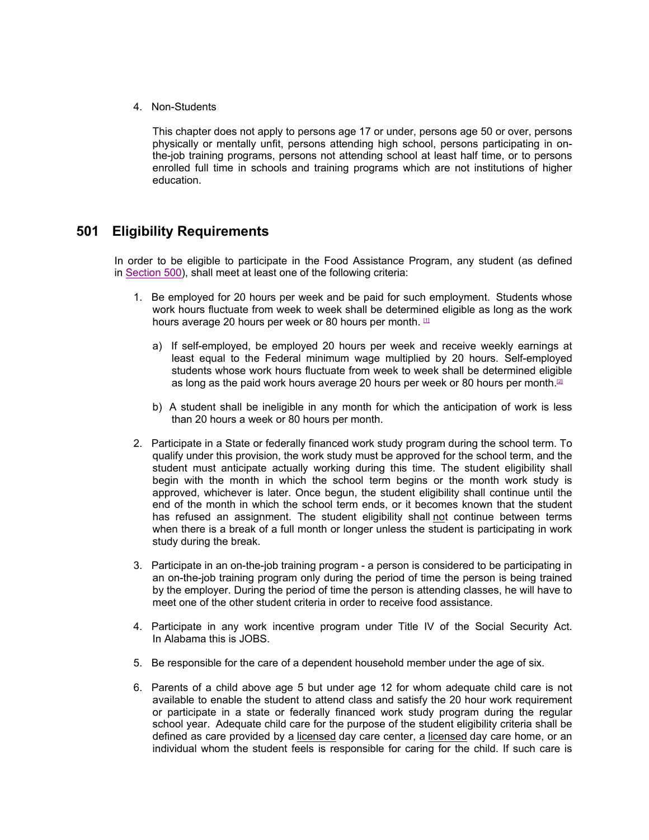4. Non-Students

This chapter does not apply to persons age 17 or under, persons age 50 or over, persons physically or mentally unfit, persons attending high school, persons participating in onthe-job training programs, persons not attending school at least half time, or to persons enrolled full time in schools and training programs which are not institutions of higher education.

### **501 Eligibility Requirements**

In order to be eligible to participate in the Food Assistance Program, any student (as defined in Section 500), shall meet at least one of the following criteria:

- 1. Be employed for 20 hours per week and be paid for such employment. Students whose work hours fluctuate from week to week shall be determined eligible as long as the work hours average 20 hours per week or 80 hours per month.  $11$ 
	- a) If self-employed, be employed 20 hours per week and receive weekly earnings at least equal to the Federal minimum wage multiplied by 20 hours. Self-employed students whose work hours fluctuate from week to week shall be determined eligible as long as the paid work hours average 20 hours per week or 80 hours per month.<sup>[2]</sup>
	- b) A student shall be ineligible in any month for which the anticipation of work is less than 20 hours a week or 80 hours per month.
- 2. Participate in a State or federally financed work study program during the school term. To qualify under this provision, the work study must be approved for the school term, and the student must anticipate actually working during this time. The student eligibility shall begin with the month in which the school term begins or the month work study is approved, whichever is later. Once begun, the student eligibility shall continue until the end of the month in which the school term ends, or it becomes known that the student has refused an assignment. The student eligibility shall not continue between terms when there is a break of a full month or longer unless the student is participating in work study during the break.
- 3. Participate in an on-the-job training program a person is considered to be participating in an on-the-job training program only during the period of time the person is being trained by the employer. During the period of time the person is attending classes, he will have to meet one of the other student criteria in order to receive food assistance.
- 4. Participate in any work incentive program under Title IV of the Social Security Act. In Alabama this is JOBS.
- 5. Be responsible for the care of a dependent household member under the age of six.
- 6. Parents of a child above age 5 but under age 12 for whom adequate child care is not available to enable the student to attend class and satisfy the 20 hour work requirement or participate in a state or federally financed work study program during the regular school year. Adequate child care for the purpose of the student eligibility criteria shall be defined as care provided by a licensed day care center, a licensed day care home, or an individual whom the student feels is responsible for caring for the child. If such care is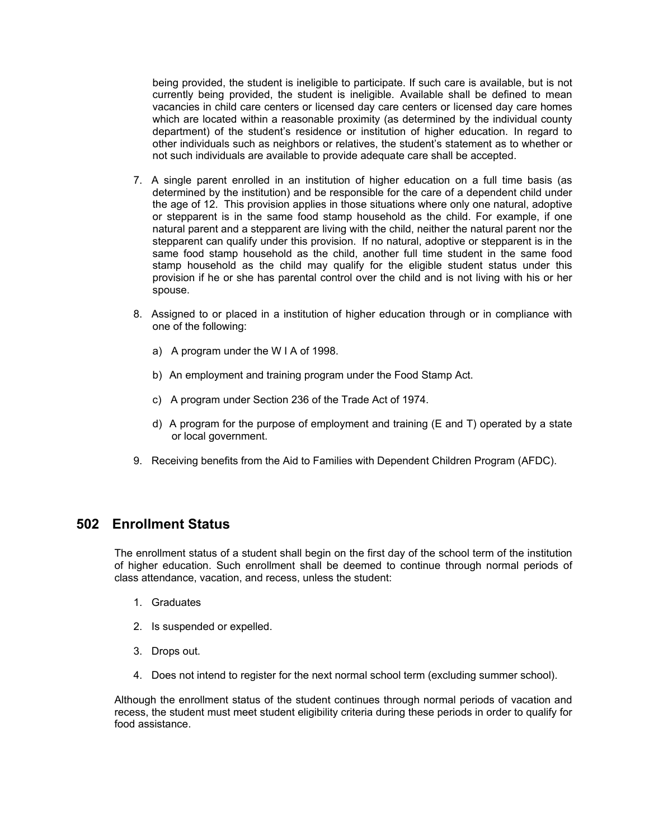being provided, the student is ineligible to participate. If such care is available, but is not currently being provided, the student is ineligible. Available shall be defined to mean vacancies in child care centers or licensed day care centers or licensed day care homes which are located within a reasonable proximity (as determined by the individual county department) of the student's residence or institution of higher education. In regard to other individuals such as neighbors or relatives, the student's statement as to whether or not such individuals are available to provide adequate care shall be accepted.

- 7. A single parent enrolled in an institution of higher education on a full time basis (as determined by the institution) and be responsible for the care of a dependent child under the age of 12. This provision applies in those situations where only one natural, adoptive or stepparent is in the same food stamp household as the child. For example, if one natural parent and a stepparent are living with the child, neither the natural parent nor the stepparent can qualify under this provision. If no natural, adoptive or stepparent is in the same food stamp household as the child, another full time student in the same food stamp household as the child may qualify for the eligible student status under this provision if he or she has parental control over the child and is not living with his or her spouse.
- 8. Assigned to or placed in a institution of higher education through or in compliance with one of the following:
	- a) A program under the W I A of 1998.
	- b) An employment and training program under the Food Stamp Act.
	- c) A program under Section 236 of the Trade Act of 1974.
	- d) A program for the purpose of employment and training (E and T) operated by a state or local government.
- 9. Receiving benefits from the Aid to Families with Dependent Children Program (AFDC).

### **502 Enrollment Status**

The enrollment status of a student shall begin on the first day of the school term of the institution of higher education. Such enrollment shall be deemed to continue through normal periods of class attendance, vacation, and recess, unless the student:

- 1. Graduates
- 2. Is suspended or expelled.
- 3. Drops out.
- 4. Does not intend to register for the next normal school term (excluding summer school).

Although the enrollment status of the student continues through normal periods of vacation and recess, the student must meet student eligibility criteria during these periods in order to qualify for food assistance.